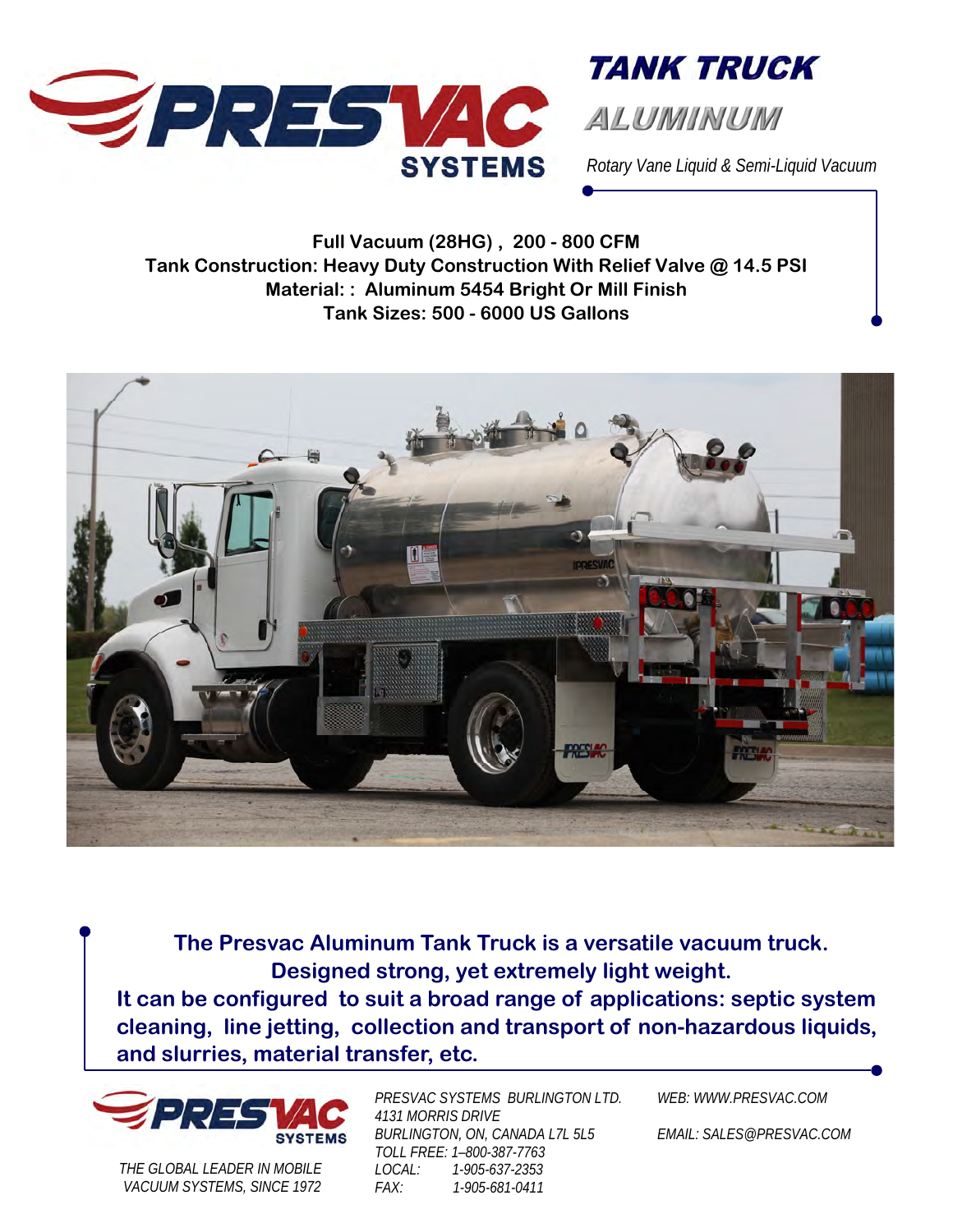

**TANK TRUCK** 

*Rotary Vane Liquid & Semi-Liquid Vacuum* 

**Full Vacuum (28HG) , 200 - 800 CFM Tank Construction: Heavy Duty Construction With Relief Valve @ 14.5 PSI Material: : Aluminum 5454 Bright Or Mill Finish Tank Sizes: 500 - 6000 US Gallons** 



**The Presvac Aluminum Tank Truck is a versatile vacuum truck. Designed strong, yet extremely light weight.** 

**It can be configured to suit a broad range of applications: septic system cleaning, line jetting, collection and transport of non-hazardous liquids, and slurries, material transfer, etc.** 



*THE GLOBAL LEADER IN MOBILE VACUUM SYSTEMS, SINCE 1972*  *PRESVAC SYSTEMS BURLINGTON LTD. 4131 MORRIS DRIVE BURLINGTON, ON, CANADA L7L 5L5 TOLL FREE: 1–800-387-7763 LOCAL: 1-905-637-2353 FAX: 1-905-681-0411* 

*WEB: WWW.PRESVAC.COM* 

*EMAIL: SALES@PRESVAC.COM*